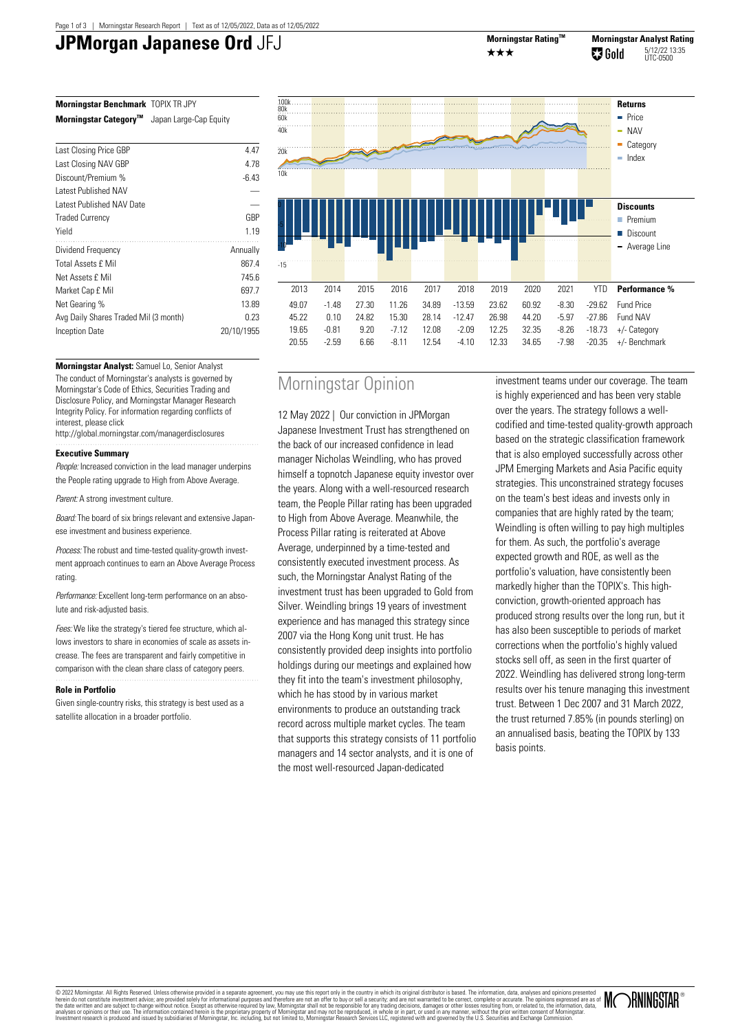# **JPMorgan Japanese Ord** JFJ Morningstar Rating™



**Morningstar Benchmark** TOPIX TR JPY **Morningstar CategoryTM** Japan Large-Cap Equity

| Last Closing Price GBP                | 4.47       |
|---------------------------------------|------------|
| Last Closing NAV GBP                  | 4.78       |
| Discount/Premium %                    | $-6.43$    |
| <b>Latest Published NAV</b>           |            |
| Latest Published NAV Date             |            |
| <b>Traded Currency</b>                | GBP        |
| Yield                                 | 1.19       |
| Dividend Frequency                    | Annually   |
| <b>Total Assets £ Mil</b>             | 867.4      |
| Net Assets £ Mil                      | 745.6      |
| Market Cap £ Mil                      | 697.7      |
| Net Gearing %                         | 13.89      |
| Avg Daily Shares Traded Mil (3 month) | 0.23       |
| Inception Date                        | 20/10/1955 |
|                                       |            |



**Morningstar Analyst:** Samuel Lo, Senior Analyst The conduct of Morningstar's analysts is governed by Morningstar's Code of Ethics, Securities Trading and Disclosure Policy, and Morningstar Manager Research Integrity Policy. For information regarding conflicts of interest, please click

http://global.morningstar.com/managerdisclosures 

## **Executive Summary**

People: Increased conviction in the lead manager underpins the People rating upgrade to High from Above Average.

Parent: A strong investment culture

Board: The board of six brings relevant and extensive Japanese investment and business experience.

Process: The robust and time-tested quality-growth investment approach continues to earn an Above Average Process rating.

Performance: Excellent long-term performance on an absolute and risk-adjusted basis.

Fees: We like the strategy's tiered fee structure, which allows investors to share in economies of scale as assets increase. The fees are transparent and fairly competitive in comparison with the clean share class of category peers. 

### **Role in Portfolio**

Given single-country risks, this strategy is best used as a satellite allocation in a broader portfolio.

## Morningstar Opinion

12 May 2022 | Our conviction in JPMorgan Japanese Investment Trust has strengthened on the back of our increased confidence in lead manager Nicholas Weindling, who has proved himself a topnotch Japanese equity investor over the years. Along with a well-resourced research team, the People Pillar rating has been upgraded to High from Above Average. Meanwhile, the Process Pillar rating is reiterated at Above Average, underpinned by a time-tested and consistently executed investment process. As such, the Morningstar Analyst Rating of the investment trust has been upgraded to Gold from Silver. Weindling brings 19 years of investment experience and has managed this strategy since 2007 via the Hong Kong unit trust. He has consistently provided deep insights into portfolio holdings during our meetings and explained how they fit into the team's investment philosophy, which he has stood by in various market environments to produce an outstanding track record across multiple market cycles. The team that supports this strategy consists of 11 portfolio managers and 14 sector analysts, and it is one of the most well-resourced Japan-dedicated

investment teams under our coverage. The team is highly experienced and has been very stable over the years. The strategy follows a wellcodified and time-tested quality-growth approach based on the strategic classification framework that is also employed successfully across other JPM Emerging Markets and Asia Pacific equity strategies. This unconstrained strategy focuses on the team's best ideas and invests only in companies that are highly rated by the team; Weindling is often willing to pay high multiples for them. As such, the portfolio's average expected growth and ROE, as well as the portfolio's valuation, have consistently been markedly higher than the TOPIX's. This highconviction, growth-oriented approach has produced strong results over the long run, but it has also been susceptible to periods of market corrections when the portfolio's highly valued stocks sell off, as seen in the first quarter of 2022. Weindling has delivered strong long-term results over his tenure managing this investment trust. Between 1 Dec 2007 and 31 March 2022, the trust returned 7.85% (in pounds sterling) on an annualised basis, beating the TOPIX by 133 basis points.

© 2022 Momingstar. All Rights Reserved. Unleas otherwise provided in a separate agreement, you may use this report only inte country in which its original distributor is based. The information, data, analyses and therefore

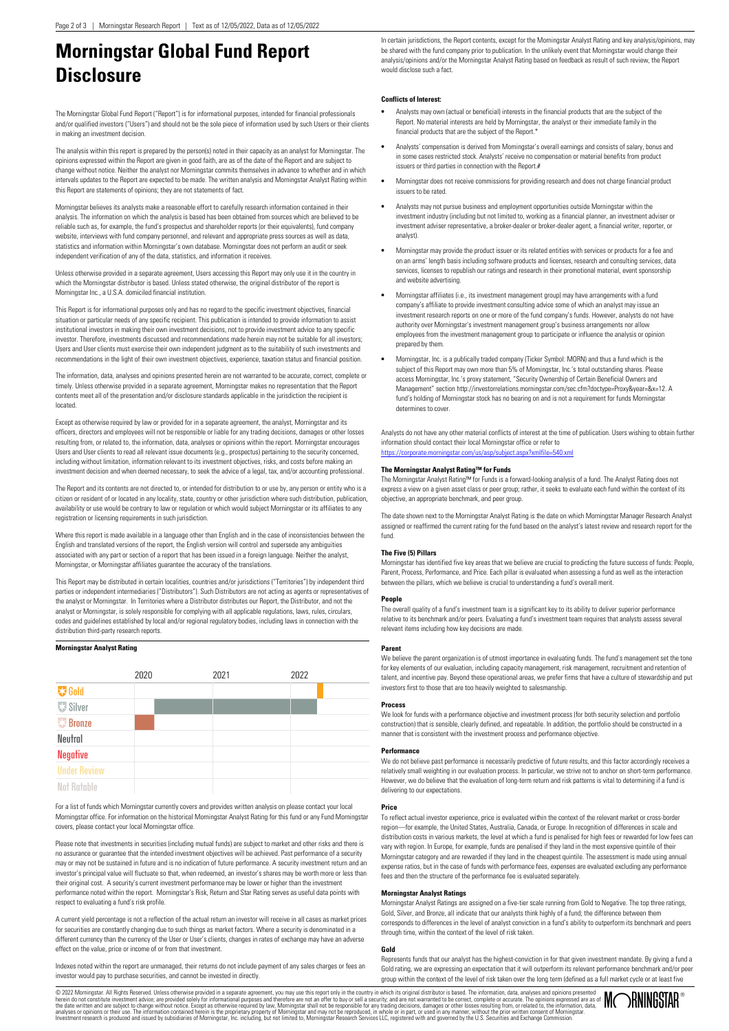## **Morningstar Global Fund Report Disclosure**

The Morningstar Global Fund Report ("Report") is for informational purposes, intended for financial professionals and/or qualified investors ("Users") and should not be the sole piece of information used by such Users or their clients in making an investment decision.

The analysis within this report is prepared by the person(s) noted in their capacity as an analyst for Morningstar. The opinions expressed within the Report are given in good faith, are as of the date of the Report and are subject to change without notice. Neither the analyst nor Morningstar commits themselves in advance to whether and in which intervals updates to the Report are expected to be made. The written analysis and Morningstar Analyst Rating within this Report are statements of opinions; they are not statements of fact.

Morningstar believes its analysts make a reasonable effort to carefully research information contained in their analysis. The information on which the analysis is based has been obtained from sources which are believed to be reliable such as, for example, the fund's prospectus and shareholder reports (or their equivalents), fund company website, interviews with fund company personnel, and relevant and appropriate press sources as well as data, statistics and information within Morningstar's own database. Morningstar does not perform an audit or seek independent verification of any of the data, statistics, and information it receives.

Unless otherwise provided in a separate agreement, Users accessing this Report may only use it in the country in which the Morningstar distributor is based. Unless stated otherwise, the original distributor of the report is Morningstar Inc., a U.S.A. domiciled financial institution.

This Report is for informational purposes only and has no regard to the specific investment objectives, financial situation or particular needs of any specific recipient. This publication is intended to provide information to assist institutional investors in making their own investment decisions, not to provide investment advice to any specific investor. Therefore, investments discussed and recommendations made herein may not be suitable for all investors; Users and User clients must exercise their own independent judgment as to the suitability of such investments and recommendations in the light of their own investment objectives, experience, taxation status and financial position.

The information, data, analyses and opinions presented herein are not warranted to be accurate, correct, complete or timely. Unless otherwise provided in a separate agreement, Morningstar makes no representation that the Report contents meet all of the presentation and/or disclosure standards applicable in the jurisdiction the recipient is located.

Except as otherwise required by law or provided for in a separate agreement, the analyst, Morningstar and its officers, directors and employees will not be responsible or liable for any trading decisions, damages or other losses resulting from, or related to, the information, data, analyses or opinions within the report. Morningstar encourages Users and User clients to read all relevant issue documents (e.g., prospectus) pertaining to the security concerned, including without limitation, information relevant to its investment objectives, risks, and costs before making an investment decision and when deemed necessary, to seek the advice of a legal, tax, and/or accounting professional.

The Report and its contents are not directed to, or intended for distribution to or use by, any person or entity who is a citizen or resident of or located in any locality, state, country or other jurisdiction where such distribution, publication, availability or use would be contrary to law or regulation or which would subject Morningstar or its affiliates to any registration or licensing requirements in such jurisdiction.

Where this report is made available in a language other than English and in the case of inconsistencies between the English and translated versions of the report, the English version will control and supersede any ambiguities associated with any part or section of a report that has been issued in a foreign language. Neither the analyst, Morningstar, or Morningstar affiliates guarantee the accuracy of the translations.

This Report may be distributed in certain localities, countries and/or jurisdictions ("Territories") by independent third parties or independent intermediaries ("Distributors"). Such Distributors are not acting as agents or representatives of the analyst or Morningstar. In Territories where a Distributor distributes our Report, the Distributor, and not the analyst or Morningstar, is solely responsible for complying with all applicable regulations, laws, rules, circulars, codes and guidelines established by local and/or regional regulatory bodies, including laws in connection with the distribution third-party research reports.

#### **Morningstar Analyst Rating**

|                     | 2020 | 2021 | 2022 |  |
|---------------------|------|------|------|--|
| <b>W</b> Gold       |      |      |      |  |
| <b>要 Silver</b>     |      |      |      |  |
| <b>Bronze</b>       |      |      |      |  |
| Neutral             |      |      |      |  |
| <b>Negative</b>     |      |      |      |  |
| <b>Under Review</b> |      |      |      |  |
| Not Ratable         |      |      |      |  |

For a list of funds which Morningstar currently covers and provides written analysis on please contact your local Morningstar office. For information on the historical Morningstar Analyst Rating for this fund or any Fund Morningstar covers, please contact your local Morningstar office.

Please note that investments in securities (including mutual funds) are subject to market and other risks and there is no assurance or guarantee that the intended investment objectives will be achieved. Past performance of a security may or may not be sustained in future and is no indication of future performance. A security investment return and an investor's principal value will fluctuate so that, when redeemed, an investor's shares may be worth more or less than their original cost. A security's current investment performance may be lower or higher than the investment performance noted within the report. Morningstar's Risk, Return and Star Rating serves as useful data points with respect to evaluating a fund's risk profile.

A current yield percentage is not a reflection of the actual return an investor will receive in all cases as market prices for securities are constantly changing due to such things as market factors. Where a security is denominated in a different currency than the currency of the User or User's clients, changes in rates of exchange may have an adverse effect on the value, price or income of or from that investment.

Indexes noted within the report are unmanaged, their returns do not include payment of any sales charges or fees an investor would pay to purchase securities, and cannot be invested in directly.

In certain jurisdictions, the Report contents, except for the Morningstar Analyst Rating and key analysis/opinions, may be shared with the fund company prior to publication. In the unlikely event that Morningstar would change their analysis/opinions and/or the Morningstar Analyst Rating based on feedback as result of such review, the Report would disclose such a fact.

## **Conflicts of Interest:**

- **•** Analysts may own (actual or beneficial) interests in the financial products that are the subject of the Report. No material interests are held by Morningstar, the analyst or their immediate family in the financial products that are the subject of the Report.
- **•** Analysts' compensation is derived from Morningstar's overall earnings and consists of salary, bonus and in some cases restricted stock. Analysts' receive no compensation or material benefits from product issuers or third parties in connection with the Report.#
- **•** Morningstar does not receive commissions for providing research and does not charge financial product issuers to be rated.
- **•** Analysts may not pursue business and employment opportunities outside Morningstar within the investment industry (including but not limited to, working as a financial planner, an investment adviser or investment adviser representative, a broker-dealer or broker-dealer agent, a financial writer, reporter, or analyst).
- **•** Morningstar may provide the product issuer or its related entities with services or products for a fee and on an arms' length basis including software products and licenses, research and consulting services, data services, licenses to republish our ratings and research in their promotional material, event sponsorship and website advertising.
- **•** Morningstar affiliates (i.e., its investment management group) may have arrangements with a fund company's affiliate to provide investment consulting advice some of which an analyst may issue investment research reports on one or more of the fund company's funds. However, analysts do not have authority over Morningstar's investment management group's business arrangements nor allow employees from the investment management group to participate or influence the analysis or opinion prepared by them.
- **•** Morningstar, Inc. is a publically traded company (Ticker Symbol: MORN) and thus a fund which is the subject of this Report may own more than 5% of Morningstar, Inc.'s total outstanding shares. Please access Morningstar, Inc.'s proxy statement, "Security Ownership of Certain Beneficial Owners and Management" section http://investorrelations.morningstar.com/sec.cfm?doctype=Proxy&year=&x=12. A fund's holding of Morningstar stock has no bearing on and is not a requirement for funds Morningstar determines to cover

Analysts do not have any other material conflicts of interest at the time of publication. Users wishing to obtain further information should contact their local Morningstar office or refer to <https://corporate.morningstar.com/us/asp/subject.aspx?xmlfile=540.xml>

#### **The Morningstar Analyst Rating™ for Funds**

The Morningstar Analyst Rating™ for Funds is a forward-looking analysis of a fund. The Analyst Rating does not express a view on a given asset class or peer group; rather, it seeks to evaluate each fund within the context of its objective, an appropriate benchmark, and peer group.

The date shown next to the Morningstar Analyst Rating is the date on which Morningstar Manager Research Analyst assigned or reaffirmed the current rating for the fund based on the analyst's latest review and research report for the fund.

#### **The Five (5) Pillars**

Morningstar has identified five key areas that we believe are crucial to predicting the future success of funds: People, Parent, Process, Performance, and Price. Each pillar is evaluated when assessing a fund as well as the interaction between the pillars, which we believe is crucial to understanding a fund's overall merit.

#### **People**

The overall quality of a fund's investment team is a significant key to its ability to deliver superior performance relative to its benchmark and/or peers. Evaluating a fund's investment team requires that analysts assess several relevant items including how key decisions are made.

#### **Parent**

We believe the parent organization is of utmost importance in evaluating funds. The fund's management set the tone for key elements of our evaluation, including capacity management, risk management, recruitment and retention of talent, and incentive pay. Beyond these operational areas, we prefer firms that have a culture of stewardship and put investors first to those that are too heavily weighted to salesmanship.

### **Process**

We look for funds with a performance objective and investment process (for both security selection and portfolio construction) that is sensible, clearly defined, and repeatable. In addition, the portfolio should be constructed in a manner that is consistent with the investment process and performance objective.

#### **Performance**

We do not believe past performance is necessarily predictive of future results, and this factor accordingly receives a relatively small weighting in our evaluation process. In particular, we strive not to anchor on short-term performance. However, we do believe that the evaluation of long-term return and risk patterns is vital to determining if a fund is delivering to our expectations.

#### **Price**

To reflect actual investor experience, price is evaluated within the context of the relevant market or cross-border region—for example, the United States, Australia, Canada, or Europe. In recognition of differences in scale and distribution costs in various markets, the level at which a fund is penalised for high fees or rewarded for low fees can vary with region. In Europe, for example, funds are penalised if they land in the most expensive quintile of their Morningstar category and are rewarded if they land in the cheapest quintile. The assessment is made using annual expense ratios, but in the case of funds with performance fees, expenses are evaluated excluding any performance fees and then the structure of the performance fee is evaluated separately.

#### **Morningstar Analyst Ratings**

Morningstar Analyst Ratings are assigned on a five-tier scale running from Gold to Negative. The top three ratings, Gold, Silver, and Bronze, all indicate that our analysts think highly of a fund; the difference between them corresponds to differences in the level of analyst conviction in a fund's ability to outperform its benchmark and peers through time, within the context of the level of risk taken.

#### **Gold**

Represents funds that our analyst has the highest-conviction in for that given investment mandate. By giving a fund a Gold rating, we are expressing an expectation that it will outperform its relevant performance benchmark and/or peer group within the context of the level of risk taken over the long term (defined as a full market cycle or at least five

© 2022 Momingstar. All Rights Reserved. Unleas otherwise provided in a separate agreement, you may use this report only inte country in which its original distributor is based. The information, data, analyses and therefore